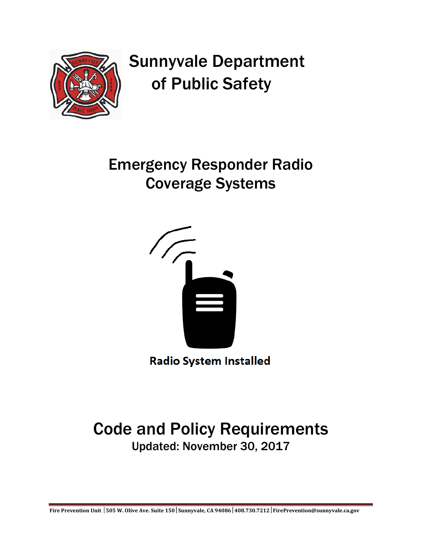

# Sunnyvale Department of Public Safety

## Emergency Responder Radio Coverage Systems



**Radio System Installed** 

## Code and Policy Requirements Updated: November 30, 2017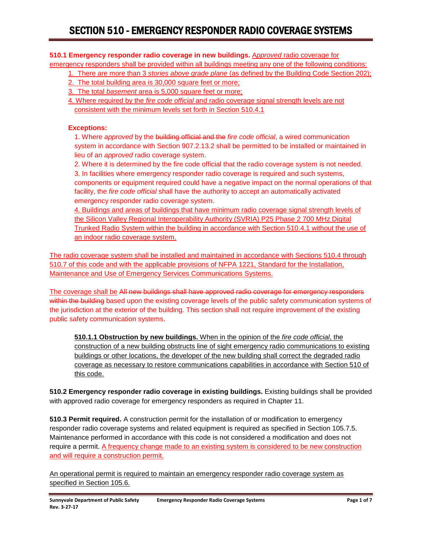**510.1 Emergency responder radio coverage in new buildings.** A*pproved* radio coverage for emergency responders shall be provided within all buildings meeting any one of the following conditions:

- 1. There are more than 3 *stories above grade plane* (as defined by the Building Code Section 202);
- 2. The total building area is 30,000 square feet or more;
- 3. The total *basement* area is 5,000 square feet or more;
- 4. Where required by the *fire code official* and radio coverage signal strength levels are not consistent with the minimum levels set forth in Section 510.4.1

#### **Exceptions:**

1. Where *approved* by the building official and the *fire code official*, a wired communication system in accordance with Section 907.2.13.2 shall be permitted to be installed or maintained in lieu of an *approved* radio coverage system.

2. Where it is determined by the fire code official that the radio coverage system is not needed.

3. In facilities where emergency responder radio coverage is required and such systems, components or equipment required could have a negative impact on the normal operations of that facility, the *fire code official* shall have the authority to accept an automatically activated emergency responder radio coverage system.

4. Buildings and areas of buildings that have minimum radio coverage signal strength levels of the Silicon Valley Regional Interoperability Authority (SVRIA) P25 Phase 2 700 MHz Digital Trunked Radio System within the building in accordance with Section 510.4.1 without the use of an indoor radio coverage system.

The radio coverage system shall be installed and maintained in accordance with Sections 510.4 through 510.7 of this code and with the applicable provisions of NFPA 1221, Standard for the Installation, Maintenance and Use of Emergency Services Communications Systems.

The coverage shall be All new buildings shall have approved radio coverage for emergency responders within the building based upon the existing coverage levels of the public safety communication systems of the jurisdiction at the exterior of the building. This section shall not require improvement of the existing public safety communication systems.

**510.1.1 Obstruction by new buildings.** When in the opinion of the *fire code official*, the construction of a new building obstructs line of sight emergency radio communications to existing buildings or other locations, the developer of the new building shall correct the degraded radio coverage as necessary to restore communications capabilities in accordance with Section 510 of this code.

**510.2 Emergency responder radio coverage in existing buildings.** Existing buildings shall be provided with approved radio coverage for emergency responders as required in Chapter 11.

**510.3 Permit required.** A construction permit for the installation of or modification to emergency responder radio coverage systems and related equipment is required as specified in Section 105.7.5. Maintenance performed in accordance with this code is not considered a modification and does not require a permit. A frequency change made to an existing system is considered to be new construction and will require a construction permit.

An operational permit is required to maintain an emergency responder radio coverage system as specified in Section 105.6.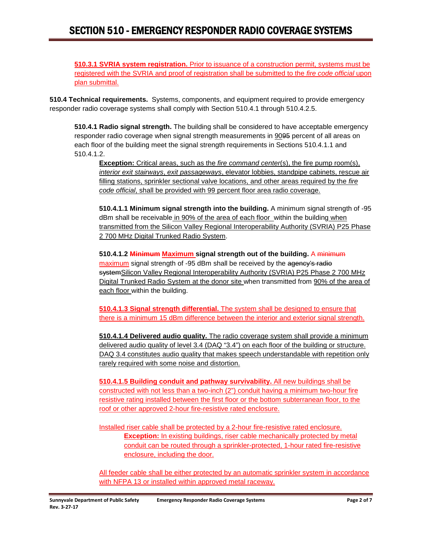**510.3.1 SVRIA system registration.** Prior to issuance of a construction permit, systems must be registered with the SVRIA and proof of registration shall be submitted to the *fire code official* upon plan submittal.

**510.4 Technical requirements.** Systems, components, and equipment required to provide emergency responder radio coverage systems shall comply with Section 510.4.1 through 510.4.2.5.

**510.4.1 Radio signal strength.** The building shall be considered to have acceptable emergency responder radio coverage when signal strength measurements in 9095 percent of all areas on each floor of the building meet the signal strength requirements in Sections 510.4.1.1 and 510.4.1.2.

**Exception:** Critical areas, such as the *fire command center*(s), the fire pump room(s), *interior exit stairways*, *exit passageways*, elevator lobbies, standpipe cabinets, rescue air filling stations, sprinkler sectional valve locations, and other areas required by the *fire code official*, shall be provided with 99 percent floor area radio coverage.

**510.4.1.1 Minimum signal strength into the building.** A minimum signal strength of -95 dBm shall be receivable in 90% of the area of each floor within the building when transmitted from the Silicon Valley Regional Interoperability Authority (SVRIA) P25 Phase 2 700 MHz Digital Trunked Radio System.

**510.4.1.2 Minimum Maximum signal strength out of the building.** A minimum maximum signal strength of -95 dBm shall be received by the agency's radio systemSilicon Valley Regional Interoperability Authority (SVRIA) P25 Phase 2 700 MHz Digital Trunked Radio System at the donor site when transmitted from 90% of the area of each floor within the building.

**510.4.1.3 Signal strength differential.** The system shall be designed to ensure that there is a minimum 15 dBm difference between the interior and exterior signal strength.

**510.4.1.4 Delivered audio quality.** The radio coverage system shall provide a minimum delivered audio quality of level 3.4 (DAQ "3.4") on each floor of the building or structure. DAQ 3.4 constitutes audio quality that makes speech understandable with repetition only rarely required with some noise and distortion.

**510.4.1.5 Building conduit and pathway survivability.** All new buildings shall be constructed with not less than a two-inch (2") conduit having a minimum two-hour fire resistive rating installed between the first floor or the bottom subterranean floor, to the roof or other approved 2-hour fire-resistive rated enclosure.

Installed riser cable shall be protected by a 2-hour fire-resistive rated enclosure. **Exception:** In existing buildings, riser cable mechanically protected by metal conduit can be routed through a sprinkler-protected, 1-hour rated fire-resistive enclosure, including the door.

All feeder cable shall be either protected by an automatic sprinkler system in accordance with NFPA 13 or installed within approved metal raceway.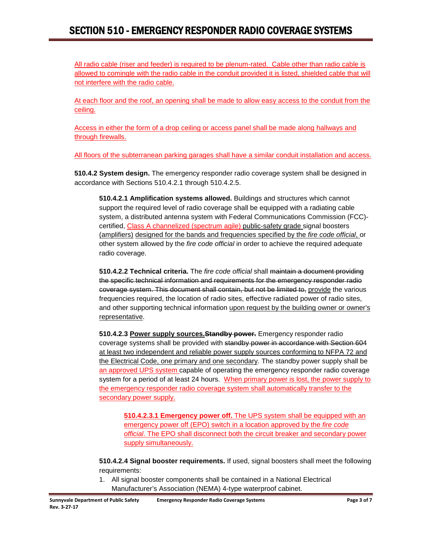All radio cable (riser and feeder) is required to be plenum-rated. Cable other than radio cable is allowed to comingle with the radio cable in the conduit provided it is listed, shielded cable that will not interfere with the radio cable.

At each floor and the roof, an opening shall be made to allow easy access to the conduit from the ceiling.

Access in either the form of a drop ceiling or access panel shall be made along hallways and through firewalls.

All floors of the subterranean parking garages shall have a similar conduit installation and access.

**510.4.2 System design.** The emergency responder radio coverage system shall be designed in accordance with Sections 510.4.2.1 through 510.4.2.5.

**510.4.2.1 Amplification systems allowed.** Buildings and structures which cannot support the required level of radio coverage shall be equipped with a radiating cable system, a distributed antenna system with Federal Communications Commission (FCC) certified, Class A channelized (spectrum agile) public-safety grade signal boosters (amplifiers) designed for the bands and frequencies specified by the *fire code official*, or other system allowed by the *fire code official* in order to achieve the required adequate radio coverage.

**510.4.2.2 Technical criteria.** The *fire code official* shall maintain a document providing the specific technical information and requirements for the emergency responder radio coverage system. This document shall contain, but not be limited to, provide the various frequencies required, the location of radio sites, effective radiated power of radio sites, and other supporting technical information upon request by the building owner or owner's representative.

**510.4.2.3 Power supply sources.Standby power.** Emergency responder radio coverage systems shall be provided with standby power in accordance with Section 604 at least two independent and reliable power supply sources conforming to NFPA 72 and the Electrical Code, one primary and one secondary. The standby power supply shall be an approved UPS system capable of operating the emergency responder radio coverage system for a period of at least 24 hours. When primary power is lost, the power supply to the emergency responder radio coverage system shall automatically transfer to the secondary power supply.

**510.4.2.3.1 Emergency power off.** The UPS system shall be equipped with an emergency power off (EPO) switch in a location approved by the *fire code official*. The EPO shall disconnect both the circuit breaker and secondary power supply simultaneously.

**510.4.2.4 Signal booster requirements.** If used, signal boosters shall meet the following requirements:

1. All signal booster components shall be contained in a National Electrical Manufacturer's Association (NEMA) 4-type waterproof cabinet.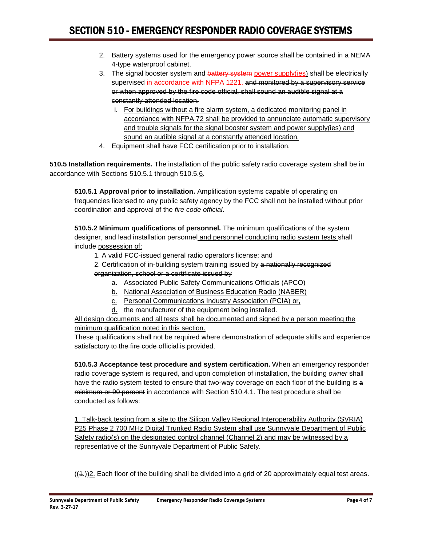- 2. Battery systems used for the emergency power source shall be contained in a NEMA 4-type waterproof cabinet.
- 3. The signal booster system and battery system power supply(ies) shall be electrically supervised in accordance with NFPA 1221. and monitored by a supervisory service or when approved by the fire code official, shall sound an audible signal at a constantly attended location.
	- i. For buildings without a fire alarm system, a dedicated monitoring panel in accordance with NFPA 72 shall be provided to annunciate automatic supervisory and trouble signals for the signal booster system and power supply(ies) and sound an audible signal at a constantly attended location.
- 4. Equipment shall have FCC certification prior to installation.

**510.5 Installation requirements.** The installation of the public safety radio coverage system shall be in accordance with Sections 510.5.1 through 510.5.6.

**510.5.1 Approval prior to installation.** Amplification systems capable of operating on frequencies licensed to any public safety agency by the FCC shall not be installed without prior coordination and approval of the *fire code official*.

**510.5.2 Minimum qualifications of personnel.** The minimum qualifications of the system designer, and lead installation personnel and personnel conducting radio system tests shall include possession of:

- 1. A valid FCC-issued general radio operators license; and
- 2. Certification of in-building system training issued by a nationally recognized organization, school or a certificate issued by
	- a. Associated Public Safety Communications Officials (APCO)
	- b. National Association of Business Education Radio (NABER)
	- c. Personal Communications Industry Association (PCIA) or,
	- $d$ . the manufacturer of the equipment being installed.

All design documents and all tests shall be documented and signed by a person meeting the minimum qualification noted in this section.

These qualifications shall not be required where demonstration of adequate skills and experience satisfactory to the fire code official is provided.

**510.5.3 Acceptance test procedure and system certification.** When an emergency responder radio coverage system is required, and upon completion of installation, the building *owner* shall have the radio system tested to ensure that two-way coverage on each floor of the building is a minimum or 90 percent in accordance with Section 510.4.1. The test procedure shall be conducted as follows:

1. Talk-back testing from a site to the Silicon Valley Regional Interoperability Authority (SVRIA) P25 Phase 2 700 MHz Digital Trunked Radio System shall use Sunnyvale Department of Public Safety radio(s) on the designated control channel (Channel 2) and may be witnessed by a representative of the Sunnyvale Department of Public Safety.

((1.))2. Each floor of the building shall be divided into a grid of 20 approximately equal test areas.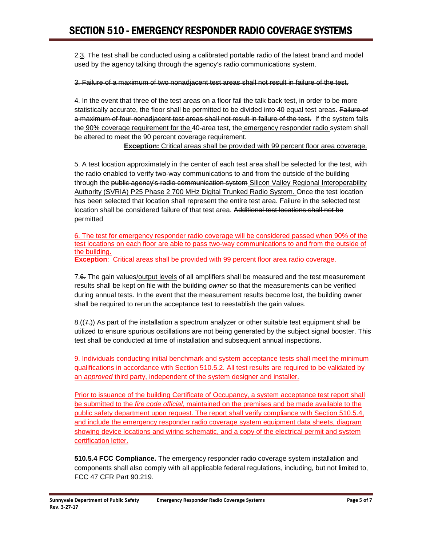2.3. The test shall be conducted using a calibrated portable radio of the latest brand and model used by the agency talking through the agency's radio communications system.

3. Failure of a maximum of two nonadjacent test areas shall not result in failure of the test.

4. In the event that three of the test areas on a floor fail the talk back test, in order to be more statistically accurate, the floor shall be permitted to be divided into 40 equal test areas. Failure of a maximum of four nonadjacent test areas shall not result in failure of the test. If the system fails the 90% coverage requirement for the 40-area test, the emergency responder radio system shall be altered to meet the 90 percent coverage requirement.

**Exception:** Critical areas shall be provided with 99 percent floor area coverage.

5. A test location approximately in the center of each test area shall be selected for the test, with the radio enabled to verify two-way communications to and from the outside of the building through the public agency's radio communication system Silicon Valley Regional Interoperability Authority (SVRIA) P25 Phase 2 700 MHz Digital Trunked Radio System. Once the test location has been selected that location shall represent the entire test area. Failure in the selected test location shall be considered failure of that test area. Additional test locations shall not be permitted

6. The test for emergency responder radio coverage will be considered passed when 90% of the test locations on each floor are able to pass two-way communications to and from the outside of the building.

**Exception**: Critical areas shall be provided with 99 percent floor area radio coverage.

7.6. The gain values/output levels of all amplifiers shall be measured and the test measurement results shall be kept on file with the building *owner* so that the measurements can be verified during annual tests. In the event that the measurement results become lost, the building owner shall be required to rerun the acceptance test to reestablish the gain values.

 $8.((7))$  As part of the installation a spectrum analyzer or other suitable test equipment shall be utilized to ensure spurious oscillations are not being generated by the subject signal booster. This test shall be conducted at time of installation and subsequent annual inspections.

9. Individuals conducting initial benchmark and system acceptance tests shall meet the minimum qualifications in accordance with Section 510.5.2. All test results are required to be validated by an *approved* third party, independent of the system designer and installer.

Prior to issuance of the building Certificate of Occupancy, a system acceptance test report shall be submitted to the *fire code official*, maintained on the premises and be made available to the public safety department upon request. The report shall verify compliance with Section 510.5.4, and include the emergency responder radio coverage system equipment data sheets, diagram showing device locations and wiring schematic, and a copy of the electrical permit and system certification letter.

**510.5.4 FCC Compliance.** The emergency responder radio coverage system installation and components shall also comply with all applicable federal regulations, including, but not limited to, FCC 47 CFR Part 90.219.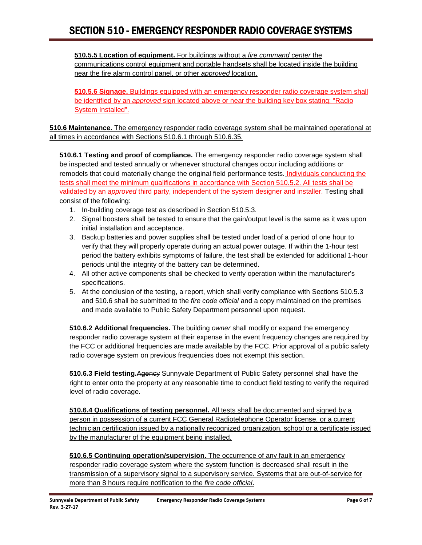**510.5.5 Location of equipment.** For buildings without a *fire command center* the communications control equipment and portable handsets shall be located inside the building near the fire alarm control panel, or other *approved* location.

**510.5.6 Signage.** Buildings equipped with an emergency responder radio coverage system shall be identified by an *approved* sign located above or near the building key box stating: "Radio System Installed".

**510.6 Maintenance.** The emergency responder radio coverage system shall be maintained operational at all times in accordance with Sections 510.6.1 through 510.6.35.

**510.6.1 Testing and proof of compliance.** The emergency responder radio coverage system shall be inspected and tested annually or whenever structural changes occur including additions or remodels that could materially change the original field performance tests. Individuals conducting the tests shall meet the minimum qualifications in accordance with Section 510.5.2. All tests shall be validated by an *approved* third party, independent of the system designer and installer. Testing shall consist of the following:

- 1. In-building coverage test as described in Section 510.5.3.
- 2. Signal boosters shall be tested to ensure that the gain/output level is the same as it was upon initial installation and acceptance.
- 3. Backup batteries and power supplies shall be tested under load of a period of one hour to verify that they will properly operate during an actual power outage. If within the 1-hour test period the battery exhibits symptoms of failure, the test shall be extended for additional 1-hour periods until the integrity of the battery can be determined.
- 4. All other active components shall be checked to verify operation within the manufacturer's specifications.
- 5. At the conclusion of the testing, a report, which shall verify compliance with Sections 510.5.3 and 510.6 shall be submitted to the *fire code official* and a copy maintained on the premises and made available to Public Safety Department personnel upon request.

**510.6.2 Additional frequencies.** The building *owner* shall modify or expand the emergency responder radio coverage system at their expense in the event frequency changes are required by the FCC or additional frequencies are made available by the FCC. Prior approval of a public safety radio coverage system on previous frequencies does not exempt this section.

**510.6.3 Field testing.**Ageney Sunnyvale Department of Public Safety personnel shall have the right to enter onto the property at any reasonable time to conduct field testing to verify the required level of radio coverage.

**510.6.4 Qualifications of testing personnel.** All tests shall be documented and signed by a person in possession of a current FCC General Radiotelephone Operator license, or a current technician certification issued by a nationally recognized organization, school or a certificate issued by the manufacturer of the equipment being installed.

**510.6.5 Continuing operation/supervision.** The occurrence of any fault in an emergency responder radio coverage system where the system function is decreased shall result in the transmission of a supervisory signal to a supervisory service. Systems that are out-of-service for more than 8 hours require notification to the *fire code official*.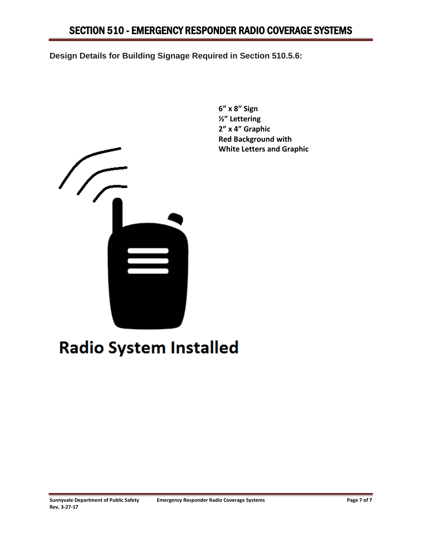**Design Details for Building Signage Required in Section 510.5.6:**



**6" x 8" Sign ½" Lettering 2" x 4" Graphic Red Background with White Letters and Graphic**

## **Radio System Installed**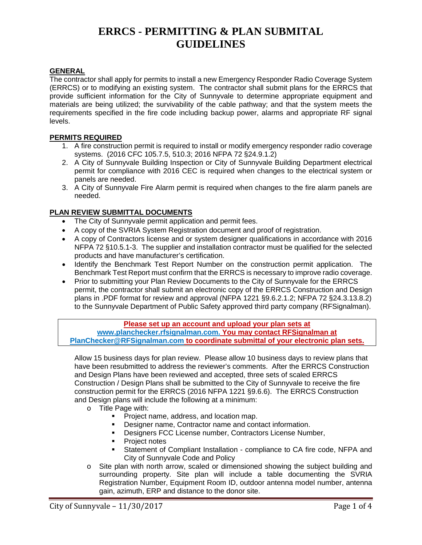#### **GENERAL**

The contractor shall apply for permits to install a new Emergency Responder Radio Coverage System (ERRCS) or to modifying an existing system. The contractor shall submit plans for the ERRCS that provide sufficient information for the City of Sunnyvale to determine appropriate equipment and materials are being utilized; the survivability of the cable pathway; and that the system meets the requirements specified in the fire code including backup power, alarms and appropriate RF signal levels.

#### **PERMITS REQUIRED**

- 1. A fire construction permit is required to install or modify emergency responder radio coverage systems. (2016 CFC 105.7.5, 510.3; 2016 NFPA 72 §24.9.1.2)
- 2. A City of Sunnyvale Building Inspection or City of Sunnyvale Building Department electrical permit for compliance with 2016 CEC is required when changes to the electrical system or panels are needed.
- 3. A City of Sunnyvale Fire Alarm permit is required when changes to the fire alarm panels are needed.

#### **PLAN REVIEW SUBMITTAL DOCUMENTS**

- The City of Sunnyvale permit application and permit fees.
- A copy of the SVRIA System Registration document and proof of registration.
- A copy of Contractors license and or system designer qualifications in accordance with 2016 NFPA 72 §10.5.1-3. The supplier and installation contractor must be qualified for the selected products and have manufacturer's certification.
- Identify the Benchmark Test Report Number on the construction permit application. The Benchmark Test Report must confirm that the ERRCS is necessary to improve radio coverage.
- Prior to submitting your Plan Review Documents to the City of Sunnyvale for the ERRCS permit, the contractor shall submit an electronic copy of the ERRCS Construction and Design plans in .PDF format for review and approval (NFPA 1221 §9.6.2.1.2; NFPA 72 §24.3.13.8.2) to the Sunnyvale Department of Public Safety approved third party company (RFSignalman).

**Please set up an account and upload your plan sets at [www.planchecker.rfsignalman.com.](http://www.planchecker.rfsignalman.com/) You may contact RFSignalman at [PlanChecker@RFSignalman.com](mailto:PlanChecker@RFSignalman.com) to coordinate submittal of your electronic plan sets.**

Allow 15 business days for plan review. Please allow 10 business days to review plans that have been resubmitted to address the reviewer's comments. After the ERRCS Construction and Design Plans have been reviewed and accepted, three sets of scaled ERRCS Construction / Design Plans shall be submitted to the City of Sunnyvale to receive the fire construction permit for the ERRCS (2016 NFPA 1221 §9.6.6). The ERRCS Construction and Design plans will include the following at a minimum:

- o Title Page with:
	- **Project name, address, and location map.**
	- Designer name, Contractor name and contact information.
	- **-** Designers FCC License number, Contractors License Number,
	- **•** Project notes
	- Statement of Compliant Installation compliance to CA fire code, NFPA and City of Sunnyvale Code and Policy
- o Site plan with north arrow, scaled or dimensioned showing the subject building and surrounding property. Site plan will include a table documenting the SVRIA Registration Number, Equipment Room ID, outdoor antenna model number, antenna gain, azimuth, ERP and distance to the donor site.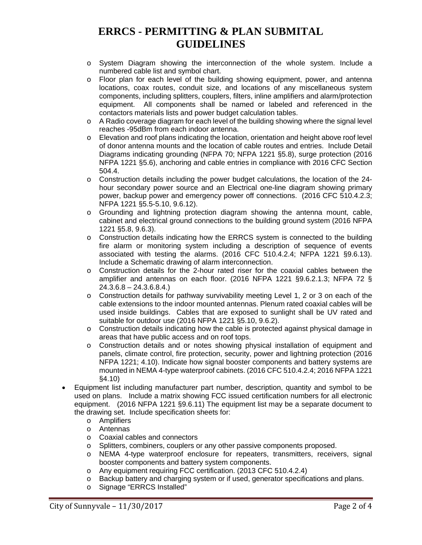- o System Diagram showing the interconnection of the whole system. Include a numbered cable list and symbol chart.
- $\circ$  Floor plan for each level of the building showing equipment, power, and antenna locations, coax routes, conduit size, and locations of any miscellaneous system components, including splitters, couplers, filters, inline amplifiers and alarm/protection equipment. All components shall be named or labeled and referenced in the contactors materials lists and power budget calculation tables.
- o A Radio coverage diagram for each level of the building showing where the signal level reaches -95dBm from each indoor antenna.
- $\circ$  Elevation and roof plans indicating the location, orientation and height above roof level of donor antenna mounts and the location of cable routes and entries. Include Detail Diagrams indicating grounding (NFPA 70; NFPA 1221 §5.8), surge protection (2016 NFPA 1221 §5.6), anchoring and cable entries in compliance with 2016 CFC Section 504.4.
- Construction details including the power budget calculations, the location of the 24hour secondary power source and an Electrical one-line diagram showing primary power, backup power and emergency power off connections. (2016 CFC 510.4.2.3; NFPA 1221 §5.5-5.10, 9.6.12).
- o Grounding and lightning protection diagram showing the antenna mount, cable, cabinet and electrical ground connections to the building ground system (2016 NFPA 1221 §5.8, 9.6.3).
- $\circ$  Construction details indicating how the ERRCS system is connected to the building fire alarm or monitoring system including a description of sequence of events associated with testing the alarms. (2016 CFC 510.4.2.4; NFPA 1221 §9.6.13). Include a Schematic drawing of alarm interconnection.
- $\circ$  Construction details for the 2-hour rated riser for the coaxial cables between the amplifier and antennas on each floor. (2016 NFPA 1221 §9.6.2.1.3; NFPA 72 §  $24.3.6.8 - 24.3.6.8.4.$
- $\circ$  Construction details for pathway survivability meeting Level 1, 2 or 3 on each of the cable extensions to the indoor mounted antennas. Plenum rated coaxial cables will be used inside buildings. Cables that are exposed to sunlight shall be UV rated and suitable for outdoor use (2016 NFPA 1221 §5.10, 9.6.2).
- o Construction details indicating how the cable is protected against physical damage in areas that have public access and on roof tops.
- o Construction details and or notes showing physical installation of equipment and panels, climate control, fire protection, security, power and lightning protection (2016 NFPA 1221; 4.10). Indicate how signal booster components and battery systems are mounted in NEMA 4-type waterproof cabinets. (2016 CFC 510.4.2.4; 2016 NFPA 1221 §4.10)
- Equipment list including manufacturer part number, description, quantity and symbol to be used on plans. Include a matrix showing FCC issued certification numbers for all electronic equipment. (2016 NFPA 1221 §9.6.11) The equipment list may be a separate document to the drawing set. Include specification sheets for:
	- o Amplifiers
	- o Antennas
	- Coaxial cables and connectors<br>○ Splitters. combiners. couplers o
	- o Splitters, combiners, couplers or any other passive components proposed.<br>
	o NEMA 4-type waterproof enclosure for repeaters, transmitters, receive
	- NEMA 4-type waterproof enclosure for repeaters, transmitters, receivers, signal booster components and battery system components.
	- o Any equipment requiring FCC certification. (2013 CFC 510.4.2.4)
	- o Backup battery and charging system or if used, generator specifications and plans.
	- o Signage "ERRCS Installed"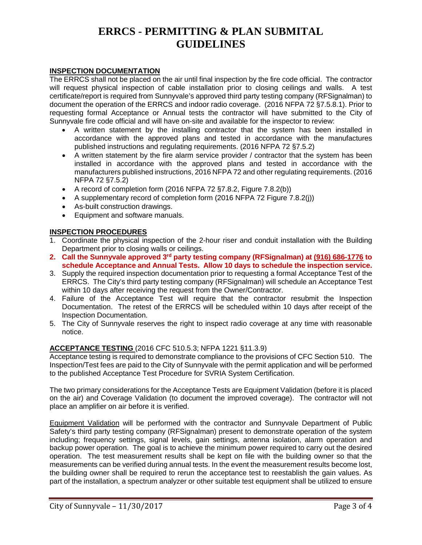#### **INSPECTION DOCUMENTATION**

The ERRCS shall not be placed on the air until final inspection by the fire code official. The contractor will request physical inspection of cable installation prior to closing ceilings and walls. A test certificate/report is required from Sunnyvale's approved third party testing company (RFSignalman) to document the operation of the ERRCS and indoor radio coverage. (2016 NFPA 72 §7.5.8.1). Prior to requesting formal Acceptance or Annual tests the contractor will have submitted to the City of Sunnyvale fire code official and will have on-site and available for the inspector to review:

- A written statement by the installing contractor that the system has been installed in accordance with the approved plans and tested in accordance with the manufactures published instructions and regulating requirements. (2016 NFPA 72 §7.5.2)
- A written statement by the fire alarm service provider / contractor that the system has been installed in accordance with the approved plans and tested in accordance with the manufacturers published instructions, 2016 NFPA 72 and other regulating requirements. (2016 NFPA 72 §7.5.2)
- A record of completion form  $(2016$  NFPA 72 §7.8.2, Figure 7.8.2(b))
- A supplementary record of completion form (2016 NFPA 72 Figure 7.8.2(i))
- As-built construction drawings.
- Equipment and software manuals.

#### **INSPECTION PROCEDURES**

- 1. Coordinate the physical inspection of the 2-hour riser and conduit installation with the Building Department prior to closing walls or ceilings.
- **2. Call the Sunnyvale approved 3rd party testing company (RFSignalman) at (916) 686-1776 to schedule Acceptance and Annual Tests. Allow 10 days to schedule the inspection service.**
- 3. Supply the required inspection documentation prior to requesting a formal Acceptance Test of the ERRCS. The City's third party testing company (RFSignalman) will schedule an Acceptance Test within 10 days after receiving the request from the Owner/Contractor.
- 4. Failure of the Acceptance Test will require that the contractor resubmit the Inspection Documentation. The retest of the ERRCS will be scheduled within 10 days after receipt of the Inspection Documentation.
- 5. The City of Sunnyvale reserves the right to inspect radio coverage at any time with reasonable notice.

#### **ACCEPTANCE TESTING** (2016 CFC 510.5.3; NFPA 1221 §11.3.9)

Acceptance testing is required to demonstrate compliance to the provisions of CFC Section 510. The Inspection/Test fees are paid to the City of Sunnyvale with the permit application and will be performed to the published Acceptance Test Procedure for SVRIA System Certification.

The two primary considerations for the Acceptance Tests are Equipment Validation (before it is placed on the air) and Coverage Validation (to document the improved coverage). The contractor will not place an amplifier on air before it is verified.

Equipment Validation will be performed with the contractor and Sunnyvale Department of Public Safety's third party testing company (RFSignalman) present to demonstrate operation of the system including; frequency settings, signal levels, gain settings, antenna isolation, alarm operation and backup power operation. The goal is to achieve the minimum power required to carry out the desired operation. The test measurement results shall be kept on file with the building owner so that the measurements can be verified during annual tests. In the event the measurement results become lost, the building owner shall be required to rerun the acceptance test to reestablish the gain values. As part of the installation, a spectrum analyzer or other suitable test equipment shall be utilized to ensure